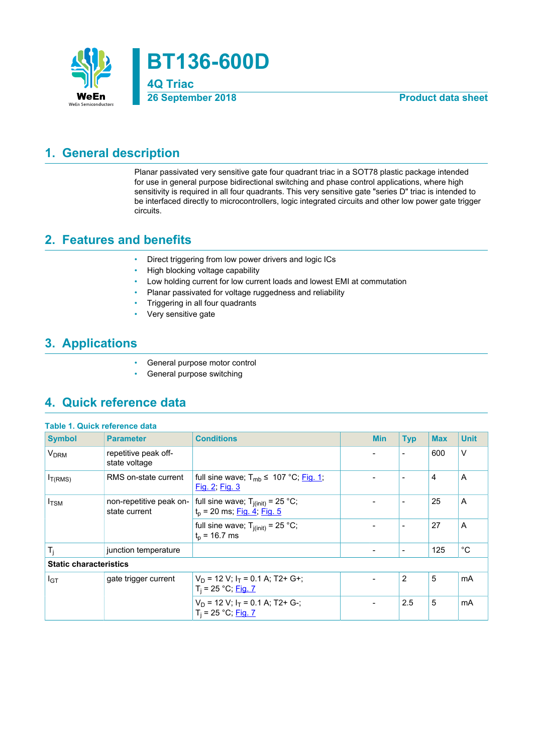

## <span id="page-0-0"></span>**1. General description**

Planar passivated very sensitive gate four quadrant triac in a SOT78 plastic package intended for use in general purpose bidirectional switching and phase control applications, where high sensitivity is required in all four quadrants. This very sensitive gate "series D" triac is intended to be interfaced directly to microcontrollers, logic integrated circuits and other low power gate trigger circuits.

### <span id="page-0-1"></span>**2. Features and benefits**

- Direct triggering from low power drivers and logic ICs
- High blocking voltage capability
- Low holding current for low current loads and lowest EMI at commutation
- Planar passivated for voltage ruggedness and reliability
- Triggering in all four quadrants
- Very sensitive gate

### <span id="page-0-2"></span>**3. Applications**

- General purpose motor control
- General purpose switching

## <span id="page-0-3"></span>**4. Quick reference data**

| <b>Table 1. Quick reference data</b> |                                          |                                                                                |  |                          |                          |            |              |
|--------------------------------------|------------------------------------------|--------------------------------------------------------------------------------|--|--------------------------|--------------------------|------------|--------------|
| <b>Symbol</b>                        | <b>Parameter</b>                         | <b>Conditions</b>                                                              |  | <b>Min</b>               | <b>Typ</b>               | <b>Max</b> | <b>Unit</b>  |
| <b>V<sub>DRM</sub></b>               | repetitive peak off-<br>state voltage    |                                                                                |  |                          | $\overline{\phantom{a}}$ | 600        | $\vee$       |
| I <sub>T(RMS)</sub>                  | RMS on-state current                     | full sine wave; $T_{mb} \leq 107 \degree C$ ; Fig. 1;<br><u>Fig. 2; Fig. 3</u> |  | $\overline{\phantom{0}}$ | $\blacksquare$           | 4          | A            |
| $I_{\text{TSM}}$                     | non-repetitive peak on-<br>state current | full sine wave; $T_{j(int)} = 25 °C$ ;<br>$t_p$ = 20 ms; Fig. 4; Fig. 5        |  | $\overline{\phantom{a}}$ | $\overline{\phantom{a}}$ | 25         | A            |
|                                      |                                          | full sine wave; $T_{i(int)} = 25 °C$ ;<br>$t_p$ = 16.7 ms                      |  |                          | $\overline{\phantom{a}}$ | 27         | A            |
| $T_i$                                | junction temperature                     |                                                                                |  | -                        | $\overline{\phantom{a}}$ | 125        | $^{\circ}$ C |
| <b>Static characteristics</b>        |                                          |                                                                                |  |                          |                          |            |              |
| I <sub>GT</sub>                      | gate trigger current                     | $V_D$ = 12 V; $I_T$ = 0.1 A; T2+ G+;<br>$T_i = 25 °C;$ Fig. 7                  |  |                          | 2                        | 5          | mA           |
|                                      |                                          | $V_D$ = 12 V; $I_T$ = 0.1 A; T2+ G-;<br>$T_i = 25 °C;$ Fig. 7                  |  |                          | 2.5                      | 5          | mA           |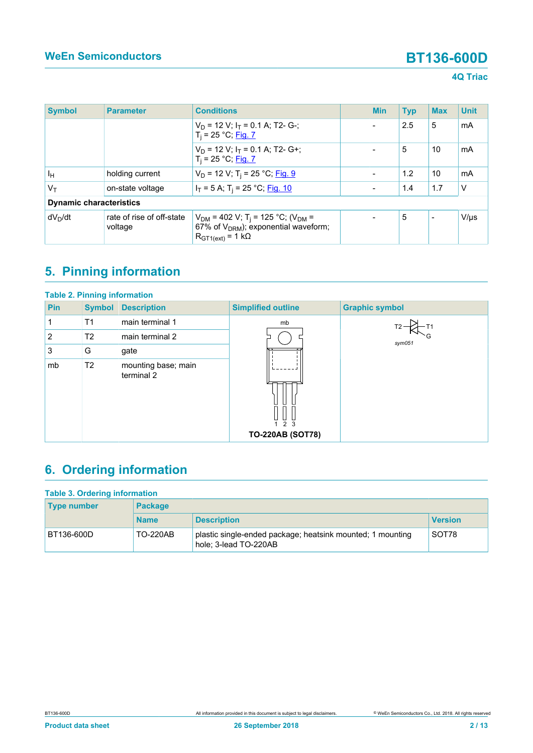### **4Q Triac**

| <b>Symbol</b> | <b>Parameter</b>                     | <b>Conditions</b>                                                                                                                        |  | <b>Min</b> | <b>Typ</b> | <b>Max</b>               | <b>Unit</b> |
|---------------|--------------------------------------|------------------------------------------------------------------------------------------------------------------------------------------|--|------------|------------|--------------------------|-------------|
|               |                                      | $V_D$ = 12 V; $I_T$ = 0.1 A; T2- G-;<br>$T_i = 25 °C;$ Fig. 7                                                                            |  |            | 2.5        | 5                        | mA          |
|               |                                      | $V_D$ = 12 V; $I_T$ = 0.1 A; T2- G+;<br>$T_i = 25 °C;$ Fig. 7                                                                            |  |            | 5          | 10                       | mA          |
| Īн            | holding current                      | $V_D$ = 12 V; T <sub>i</sub> = 25 °C; Fig. 9                                                                                             |  |            | 1.2        | 10                       | mA          |
| $V_T$         | on-state voltage                     | $I_T = 5$ A; T <sub>i</sub> = 25 °C; <u>Fig. 10</u>                                                                                      |  |            | 1.4        | 1.7                      | $\vee$      |
|               | <b>Dynamic characteristics</b>       |                                                                                                                                          |  |            |            |                          |             |
| $dV_D/dt$     | rate of rise of off-state<br>voltage | $V_{DM}$ = 402 V; T <sub>i</sub> = 125 °C; (V <sub>DM</sub> =<br>67% of $V_{DRM}$ ); exponential waveform;<br>$R_{GT1(ext)} = 1 k\Omega$ |  |            | 5          | $\overline{\phantom{0}}$ | $V/\mu s$   |

# <span id="page-1-0"></span>**5. Pinning information**

| <b>Table 2. Pinning information</b> |                |                                   |                           |                       |
|-------------------------------------|----------------|-----------------------------------|---------------------------|-----------------------|
| <b>Pin</b>                          | <b>Symbol</b>  | <b>Description</b>                | <b>Simplified outline</b> | <b>Graphic symbol</b> |
| 1                                   | T <sub>1</sub> | main terminal 1                   | mb                        |                       |
| 2                                   | T <sub>2</sub> | main terminal 2                   |                           | sym051                |
| 3                                   | G              | gate                              |                           |                       |
| mb                                  | T <sub>2</sub> | mounting base; main<br>terminal 2 | 2 <sub>3</sub>            |                       |
|                                     |                |                                   | <b>TO-220AB (SOT78)</b>   |                       |

# <span id="page-1-1"></span>**6. Ordering information**

| <b>Table 3. Ordering information</b> |                 |                                                                                     |                |  |  |  |
|--------------------------------------|-----------------|-------------------------------------------------------------------------------------|----------------|--|--|--|
| <b>Type number</b>                   | <b>Package</b>  |                                                                                     |                |  |  |  |
|                                      | <b>Name</b>     | <b>Description</b>                                                                  | <b>Version</b> |  |  |  |
| BT136-600D                           | <b>TO-220AB</b> | plastic single-ended package; heatsink mounted; 1 mounting<br>hole; 3-lead TO-220AB | SOT78          |  |  |  |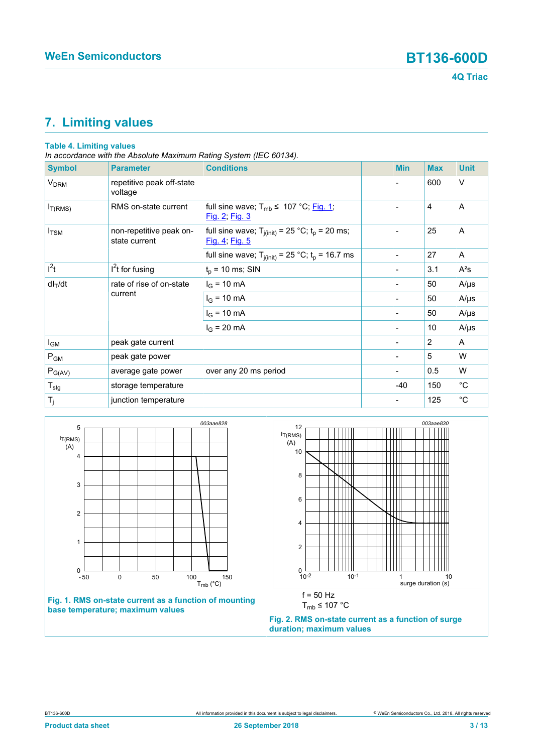# <span id="page-2-2"></span>**7. Limiting values**

### **Table 4. Limiting values**

*In accordance with the Absolute Maximum Rating System (IEC 60134).*

| <b>Symbol</b>          | <b>Parameter</b>                         | <b>Conditions</b>                                                       | <b>Min</b>                   | <b>Max</b> | <b>Unit</b> |
|------------------------|------------------------------------------|-------------------------------------------------------------------------|------------------------------|------------|-------------|
| <b>V<sub>DRM</sub></b> | repetitive peak off-state<br>voltage     |                                                                         |                              | 600        | $\vee$      |
| $I_{T(RMS)}$           | RMS on-state current                     | full sine wave; $T_{mb} \leq 107 \degree C$ ; Fig. 1;<br>Fig. 2; Fig. 3 |                              | 4          | A           |
| $I_{\text{TSM}}$       | non-repetitive peak on-<br>state current | full sine wave; $T_{j(int)} = 25 °C$ ; $t_p = 20$ ms;<br>Fig. 4; Fig. 5 |                              | 25         | A           |
|                        |                                          | full sine wave; $T_{j(int)} = 25$ °C; $t_p = 16.7$ ms                   | $\overline{\phantom{a}}$     | 27         | A           |
| $l^2t$                 | $I2t$ for fusing                         | $t_p$ = 10 ms; SIN                                                      |                              | 3.1        | $A^2s$      |
| $dl_T/dt$              | rate of rise of on-state<br>current      | $I_G = 10 \text{ mA}$                                                   | -                            | 50         | $A/\mu s$   |
|                        |                                          | $I_G = 10 \text{ mA}$                                                   |                              | 50         | $A/\mu s$   |
|                        |                                          | $I_G = 10 \text{ mA}$                                                   | $\overline{\phantom{a}}$     | 50         | $A/\mu s$   |
|                        |                                          | $I_G = 20 \text{ mA}$                                                   | $\overline{\phantom{a}}$     | 10         | $A/\mu s$   |
| I <sub>GM</sub>        | peak gate current                        |                                                                         |                              | 2          | A           |
| $P_{GM}$               | peak gate power                          |                                                                         |                              | 5          | W           |
| $P_{G(AV)}$            | average gate power                       | over any 20 ms period                                                   | $\qquad \qquad \blacksquare$ | 0.5        | W           |
| $T_{\text{stg}}$       | storage temperature                      |                                                                         | $-40$                        | 150        | $^{\circ}C$ |
| $T_j$                  | junction temperature                     |                                                                         | -                            | 125        | $^{\circ}C$ |

<span id="page-2-0"></span>

### **Fig. 1. RMS on-state current as a function of mounting base temperature; maximum values**

<span id="page-2-1"></span>

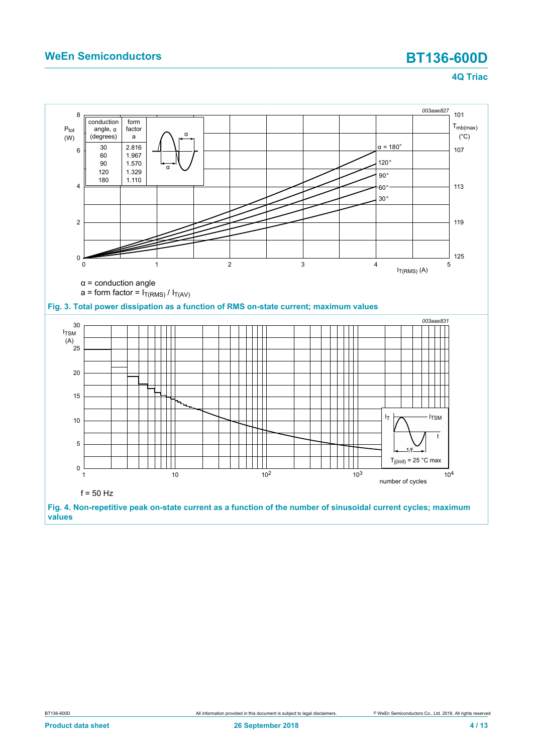<span id="page-3-1"></span><span id="page-3-0"></span>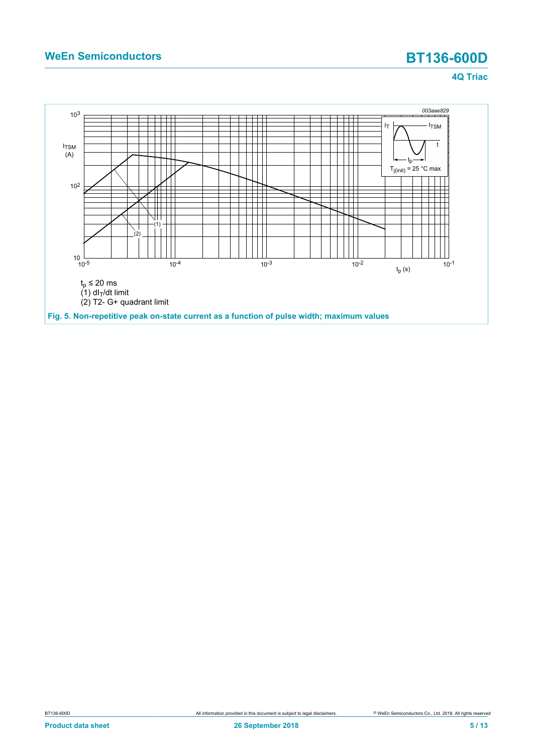<span id="page-4-0"></span>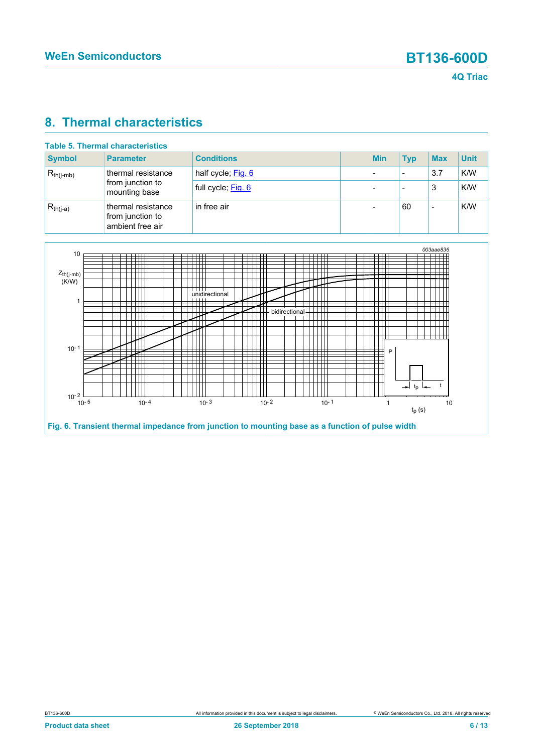## <span id="page-5-1"></span>**8. Thermal characteristics**

| Table 5. Thermal characteristics |                                                            |                    |  |            |            |            |             |
|----------------------------------|------------------------------------------------------------|--------------------|--|------------|------------|------------|-------------|
| <b>Symbol</b>                    | <b>Parameter</b>                                           | <b>Conditions</b>  |  | <b>Min</b> | <b>Typ</b> | <b>Max</b> | <b>Unit</b> |
| $R_{th(i-mb)}$                   | thermal resistance<br>from junction to<br>mounting base    | half cycle; Fig. 6 |  |            | -          | 3.7        | K/W         |
|                                  |                                                            | full cycle; Fig. 6 |  |            |            | 3          | K/W         |
| $R_{th(j-a)}$                    | thermal resistance<br>from junction to<br>ambient free air | in free air        |  |            | 60         |            | K/W         |

<span id="page-5-0"></span>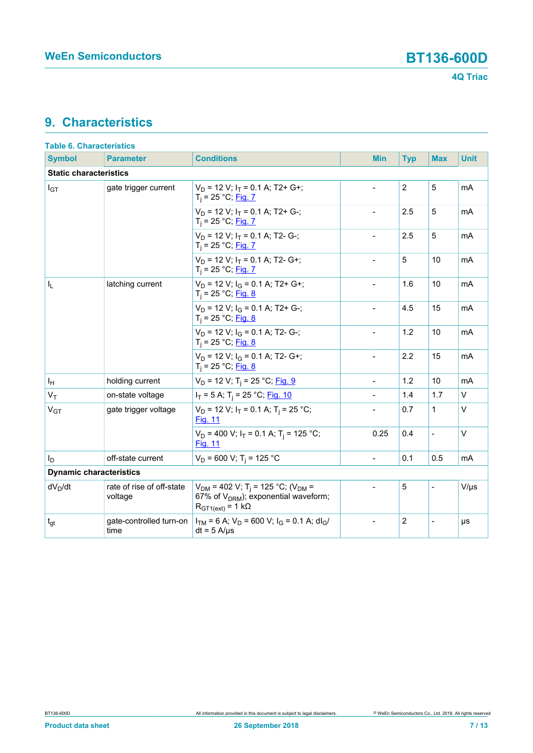## <span id="page-6-0"></span>**9. Characteristics**

| <b>Table 6. Characteristics</b> |                                      |                                                                                                                                          |                          |                |                              |             |  |
|---------------------------------|--------------------------------------|------------------------------------------------------------------------------------------------------------------------------------------|--------------------------|----------------|------------------------------|-------------|--|
| <b>Symbol</b>                   | <b>Parameter</b>                     | <b>Conditions</b>                                                                                                                        | <b>Min</b>               | <b>Typ</b>     | <b>Max</b>                   | <b>Unit</b> |  |
| <b>Static characteristics</b>   |                                      |                                                                                                                                          |                          |                |                              |             |  |
| $I_{GT}$                        | gate trigger current                 | $V_D$ = 12 V; $I_T$ = 0.1 A; T2+ G+;<br>$T_i = 25 °C;$ Fig. 7                                                                            | $\overline{a}$           | $\overline{2}$ | 5                            | mA          |  |
|                                 |                                      | $V_D$ = 12 V; $I_T$ = 0.1 A; T2+ G-;<br>$T_i = 25 °C;$ Fig. 7                                                                            |                          | 2.5            | 5                            | mA          |  |
|                                 |                                      | $V_D$ = 12 V; $I_T$ = 0.1 A; T2- G-;<br>$T_i = 25 °C;$ Fig. 7                                                                            |                          | 2.5            | 5                            | mA          |  |
|                                 |                                      | $V_D$ = 12 V; $I_T$ = 0.1 A; T2- G+;<br>$T_i = 25 °C;$ Fig. 7                                                                            | $\overline{\phantom{0}}$ | 5              | 10                           | mA          |  |
| I <sub>L</sub>                  | latching current                     | $V_D$ = 12 V; $I_G$ = 0.1 A; T2+ G+;<br>$T_i = 25 °C;$ Fig. 8                                                                            |                          | 1.6            | 10                           | mA          |  |
|                                 |                                      | $V_D$ = 12 V; $I_G$ = 0.1 A; T2+ G-;<br>$T_i = 25 °C;$ Fig. 8                                                                            | $\overline{\phantom{a}}$ | 4.5            | 15                           | mA          |  |
|                                 |                                      | $V_D$ = 12 V; $I_G$ = 0.1 A; T2- G-;<br>$T_i = 25 °C;$ Fig. 8                                                                            | $\overline{a}$           | 1.2            | 10                           | mA          |  |
|                                 |                                      | $V_D$ = 12 V; $I_G$ = 0.1 A; T2- G+;<br>$T_i = 25 °C;$ Fig. 8                                                                            | $\overline{\phantom{a}}$ | 2.2            | 15                           | mA          |  |
| ΙH                              | holding current                      | $V_D$ = 12 V; T <sub>i</sub> = 25 °C; Fig. 9                                                                                             | $\overline{a}$           | 1.2            | 10                           | mA          |  |
| $V_T$                           | on-state voltage                     | $I_T = 5$ A; T <sub>i</sub> = 25 °C; Fig. 10                                                                                             |                          | 1.4            | 1.7                          | $\vee$      |  |
| V <sub>GT</sub>                 | gate trigger voltage                 | $V_D$ = 12 V; $I_T$ = 0.1 A; T <sub>i</sub> = 25 °C;<br><b>Fig. 11</b>                                                                   | $\overline{a}$           | 0.7            | 1                            | $\vee$      |  |
|                                 |                                      | $V_D$ = 400 V; $I_T$ = 0.1 A; T <sub>i</sub> = 125 °C;<br><b>Fig. 11</b>                                                                 | 0.25                     | 0.4            | $\overline{\phantom{0}}$     | $\vee$      |  |
| Ιp                              | off-state current                    | $V_D$ = 600 V; T <sub>i</sub> = 125 °C                                                                                                   | $\overline{a}$           | 0.1            | 0.5                          | mA          |  |
| <b>Dynamic characteristics</b>  |                                      |                                                                                                                                          |                          |                |                              |             |  |
| $dV_D/dt$                       | rate of rise of off-state<br>voltage | $V_{DM}$ = 402 V; T <sub>i</sub> = 125 °C; (V <sub>DM</sub> =<br>67% of $V_{DRM}$ ); exponential waveform;<br>$R_{GT1(ext)} = 1 k\Omega$ |                          | 5              |                              | $V/\mu s$   |  |
| $t_{gt}$                        | gate-controlled turn-on<br>time      | $I_{TM}$ = 6 A; $V_D$ = 600 V; $I_G$ = 0.1 A; dl <sub>G</sub> /<br>$dt = 5$ A/ $\mu$ s                                                   | $\overline{a}$           | $\overline{c}$ | $\qquad \qquad \blacksquare$ | μs          |  |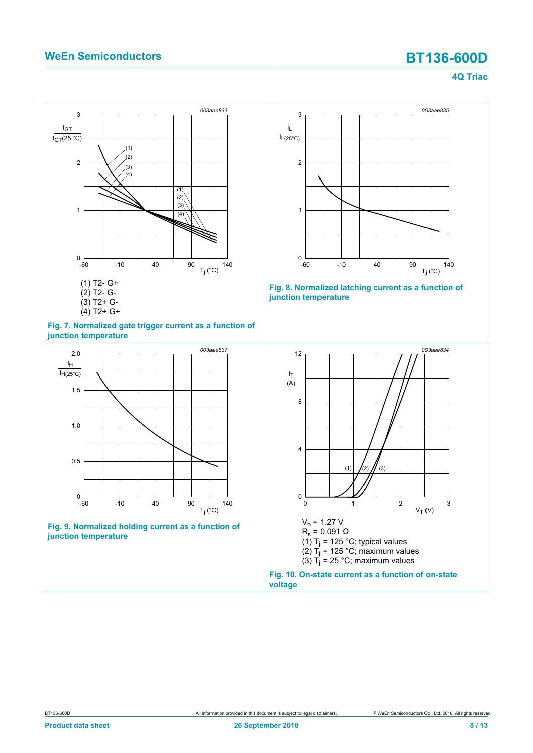<span id="page-7-0"></span>



<span id="page-7-1"></span>



<span id="page-7-3"></span>



<span id="page-7-2"></span>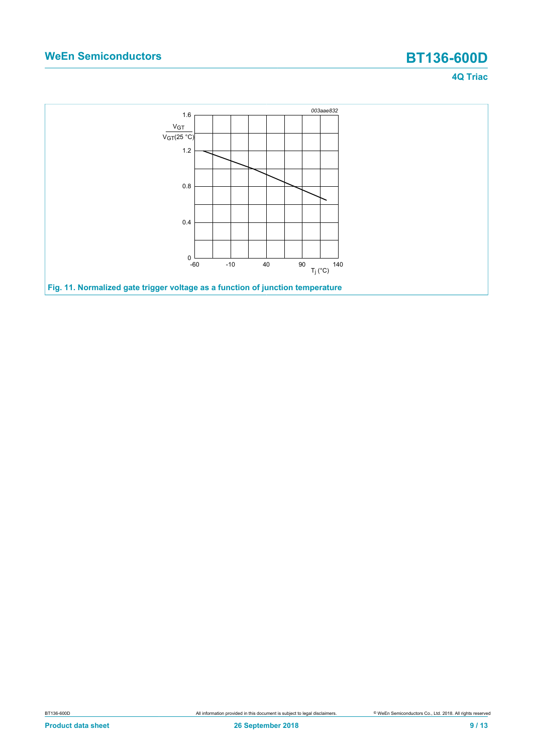<span id="page-8-0"></span>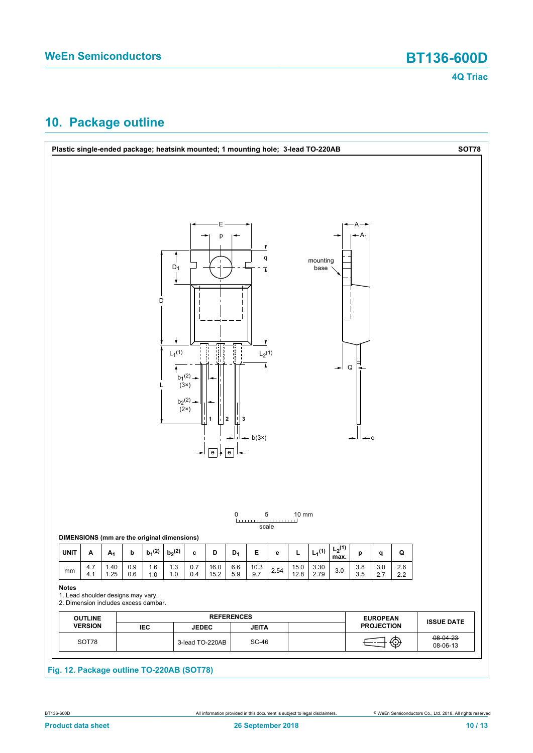## <span id="page-9-0"></span>**10. Package outline**

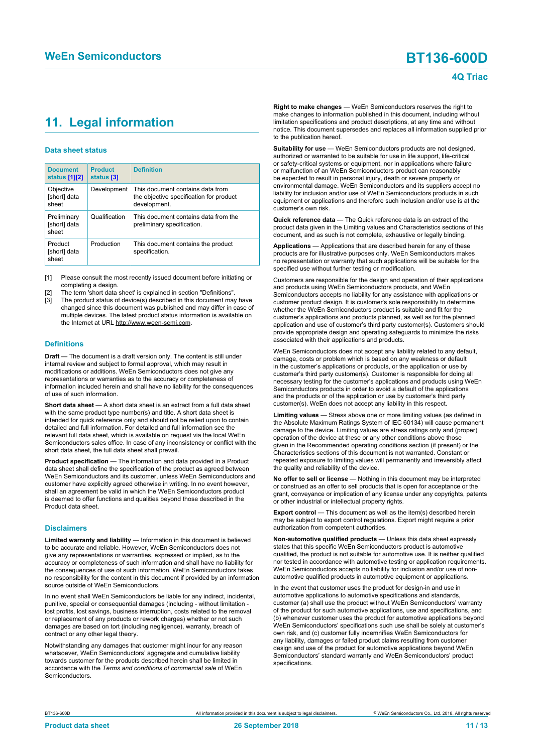## <span id="page-10-1"></span><span id="page-10-0"></span>**11. Legal information**

#### **Data sheet status**

| <b>Document</b><br>status [1][2]     | <b>Product</b><br>status [3] | <b>Definition</b>                                                                           |
|--------------------------------------|------------------------------|---------------------------------------------------------------------------------------------|
| Objective<br>[short] data<br>sheet   | Development                  | This document contains data from<br>the objective specification for product<br>development. |
| Preliminary<br>[short] data<br>sheet | Qualification                | This document contains data from the<br>preliminary specification.                          |
| Product<br>[short] data<br>sheet     | Production                   | This document contains the product<br>specification.                                        |

[1] Please consult the most recently issued document before initiating or completing a design.

- The term 'short data sheet' is explained in section "Definitions".
- The product status of device(s) described in this document may have changed since this document was published and may differ in case of multiple devices. The latest product status information is available on the Internet at URL http://www.ween-semi.com.

#### **Definitions**

**Draft** — The document is a draft version only. The content is still under internal review and subject to formal approval, which may result in modifications or additions. WeEn Semiconductors does not give any representations or warranties as to the accuracy or completeness of information included herein and shall have no liability for the consequences of use of such information.

**Short data sheet** — A short data sheet is an extract from a full data sheet with the same product type number(s) and title. A short data sheet is intended for quick reference only and should not be relied upon to contain detailed and full information. For detailed and full information see the relevant full data sheet, which is available on request via the local WeEn Semiconductors sales office. In case of any inconsistency or conflict with the short data sheet, the full data sheet shall prevail.

**Product specification** — The information and data provided in a Product data sheet shall define the specification of the product as agreed between WeEn Semiconductors and its customer, unless WeEn Semiconductors and customer have explicitly agreed otherwise in writing. In no event however, shall an agreement be valid in which the WeEn Semiconductors product is deemed to offer functions and qualities beyond those described in the Product data sheet.

#### **Disclaimers**

**Limited warranty and liability** — Information in this document is believed to be accurate and reliable. However, WeEn Semiconductors does not give any representations or warranties, expressed or implied, as to the accuracy or completeness of such information and shall have no liability for the consequences of use of such information. WeEn Semiconductors takes no responsibility for the content in this document if provided by an information source outside of WeEn Semiconductors.

In no event shall WeEn Semiconductors be liable for any indirect, incidental, punitive, special or consequential damages (including - without limitation lost profits, lost savings, business interruption, costs related to the removal or replacement of any products or rework charges) whether or not such damages are based on tort (including negligence), warranty, breach of contract or any other legal theory.

Notwithstanding any damages that customer might incur for any reason whatsoever, WeEn Semiconductors' aggregate and cumulative liability towards customer for the products described herein shall be limited in accordance with the *Terms and conditions of commercial sale* of WeEn **Semiconductors** 

**Right to make changes** — WeEn Semiconductors reserves the right to make changes to information published in this document, including without limitation specifications and product descriptions, at any time and without notice. This document supersedes and replaces all information supplied prior to the publication hereof.

**Suitability for use** — WeEn Semiconductors products are not designed, authorized or warranted to be suitable for use in life support, life-critical or safety-critical systems or equipment, nor in applications where failure or malfunction of an WeEn Semiconductors product can reasonably be expected to result in personal injury, death or severe property or environmental damage. WeEn Semiconductors and its suppliers accept no liability for inclusion and/or use of WeEn Semiconductors products in such equipment or applications and therefore such inclusion and/or use is at the customer's own risk.

**Quick reference data** — The Quick reference data is an extract of the product data given in the Limiting values and Characteristics sections of this document, and as such is not complete, exhaustive or legally binding.

**Applications** — Applications that are described herein for any of these products are for illustrative purposes only. WeEn Semiconductors makes no representation or warranty that such applications will be suitable for the specified use without further testing or modification.

Customers are responsible for the design and operation of their applications and products using WeEn Semiconductors products, and WeEn Semiconductors accepts no liability for any assistance with applications or customer product design. It is customer's sole responsibility to determine whether the WeEn Semiconductors product is suitable and fit for the customer's applications and products planned, as well as for the planned application and use of customer's third party customer(s). Customers should provide appropriate design and operating safeguards to minimize the risks associated with their applications and products.

WeEn Semiconductors does not accept any liability related to any default, damage, costs or problem which is based on any weakness or default in the customer's applications or products, or the application or use by customer's third party customer(s). Customer is responsible for doing all necessary testing for the customer's applications and products using WeEn Semiconductors products in order to avoid a default of the applications and the products or of the application or use by customer's third party customer(s). WeEn does not accept any liability in this respect.

**Limiting values** — Stress above one or more limiting values (as defined in the Absolute Maximum Ratings System of IEC 60134) will cause permanent damage to the device. Limiting values are stress ratings only and (proper) operation of the device at these or any other conditions above those given in the Recommended operating conditions section (if present) or the Characteristics sections of this document is not warranted. Constant or repeated exposure to limiting values will permanently and irreversibly affect the quality and reliability of the device.

**No offer to sell or license** — Nothing in this document may be interpreted or construed as an offer to sell products that is open for acceptance or the grant, conveyance or implication of any license under any copyrights, patents or other industrial or intellectual property rights.

**Export control** — This document as well as the item(s) described herein may be subject to export control regulations. Export might require a prior authorization from competent authorities.

**Non-automotive qualified products** — Unless this data sheet expressly states that this specific WeEn Semiconductors product is automotive qualified, the product is not suitable for automotive use. It is neither qualified nor tested in accordance with automotive testing or application requirements. WeEn Semiconductors accepts no liability for inclusion and/or use of nonautomotive qualified products in automotive equipment or applications.

In the event that customer uses the product for design-in and use in automotive applications to automotive specifications and standards, customer (a) shall use the product without WeEn Semiconductors' warranty of the product for such automotive applications, use and specifications, and (b) whenever customer uses the product for automotive applications beyond WeEn Semiconductors' specifications such use shall be solely at customer's own risk, and (c) customer fully indemnifies WeEn Semiconductors for any liability, damages or failed product claims resulting from customer design and use of the product for automotive applications beyond WeEn Semiconductors' standard warranty and WeEn Semiconductors' product specifications.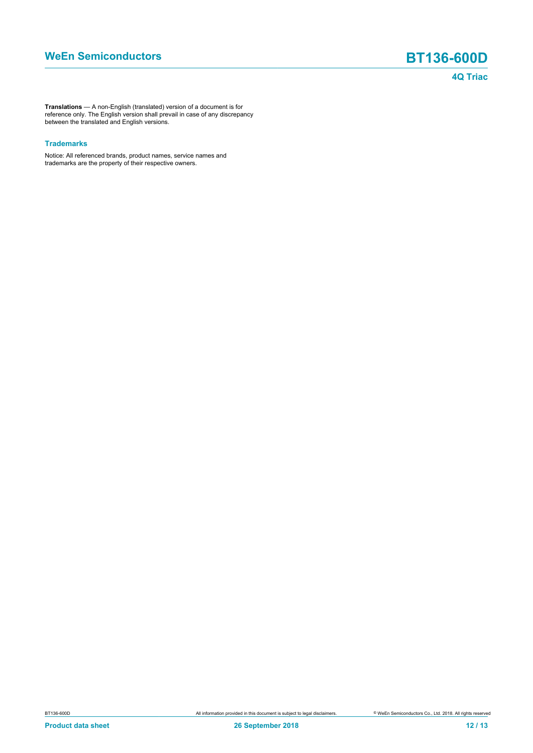**Translations** — A non-English (translated) version of a document is for reference only. The English version shall prevail in case of any discrepancy between the translated and English versions.

#### **Trademarks**

Notice: All referenced brands, product names, service names and trademarks are the property of their respective owners.